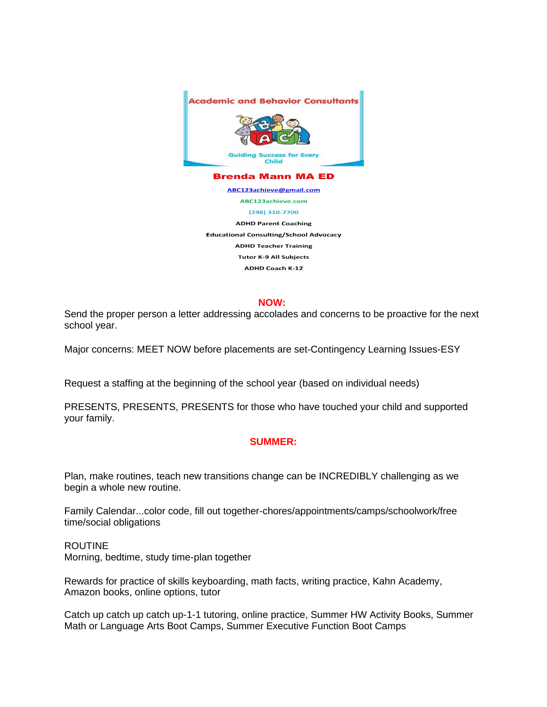

ABC123achieve@gmail.com ABC123achieve.com

(248) 310-7700

**ADHD Parent Coaching Educational Consulting/School Advocacy ADHD Teacher Training Tutor K-9 All Subjects ADHD Coach K-12** 

## **NOW:**

Send the proper person a letter addressing accolades and concerns to be proactive for the next school year.

Major concerns: MEET NOW before placements are set-Contingency Learning Issues-ESY

Request a staffing at the beginning of the school year (based on individual needs)

PRESENTS, PRESENTS, PRESENTS for those who have touched your child and supported your family.

## **SUMMER:**

Plan, make routines, teach new transitions change can be INCREDIBLY challenging as we begin a whole new routine.

Family Calendar...color code, fill out together-chores/appointments/camps/schoolwork/free time/social obligations

## ROUTINE

Morning, bedtime, study time-plan together

Rewards for practice of skills keyboarding, math facts, writing practice, Kahn Academy, Amazon books, online options, tutor

Catch up catch up catch up-1-1 tutoring, online practice, Summer HW Activity Books, Summer Math or Language Arts Boot Camps, Summer Executive Function Boot Camps